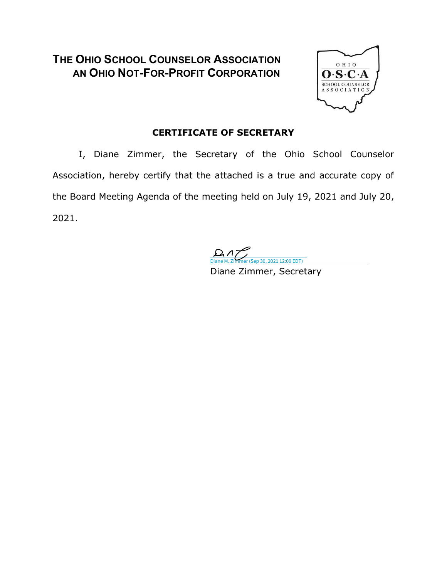### **THE OHIO SCHOOL COUNSELOR ASSOCIATION AN OHIO NOT-FOR-PROFIT CORPORATION**



#### **CERTIFICATE OF SECRETARY**

I, Diane Zimmer, the Secretary of the Ohio School Counselor Association, hereby certify that the attached is a true and accurate copy of the Board Meeting Agenda of the meeting held on July 19, 2021 and July 20, 2021.

30, 2021 12:09 EDT)

Diane Zimmer, Secretary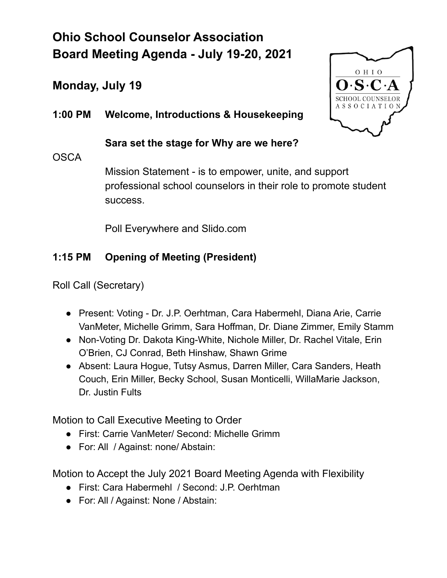## **Ohio School Counselor Association Board Meeting Agenda - July 19-20, 2021**

## **Monday, July 19**

**1:00 PM Welcome, Introductions & Housekeeping**

**Sara set the stage for Why are we here?**

#### **OSCA**

Mission Statement - is to empower, unite, and support professional school counselors in their role to promote student success.

Poll Everywhere and Slido.com

#### **1:15 PM Opening of Meeting (President)**

Roll Call (Secretary)

- Present: Voting Dr. J.P. Oerhtman, Cara Habermehl, Diana Arie, Carrie VanMeter, Michelle Grimm, Sara Hoffman, Dr. Diane Zimmer, Emily Stamm
- Non-Voting Dr. Dakota King-White, Nichole Miller, Dr. Rachel Vitale, Erin O'Brien, CJ Conrad, Beth Hinshaw, Shawn Grime
- Absent: Laura Hogue, Tutsy Asmus, Darren Miller, Cara Sanders, Heath Couch, Erin Miller, Becky School, Susan Monticelli, WillaMarie Jackson, Dr. Justin Fults

Motion to Call Executive Meeting to Order

- First: Carrie VanMeter/ Second: Michelle Grimm
- For: All / Against: none/ Abstain:

Motion to Accept the July 2021 Board Meeting Agenda with Flexibility

- First: Cara Habermehl / Second: J.P. Oerhtman
- For: All / Against: None / Abstain:

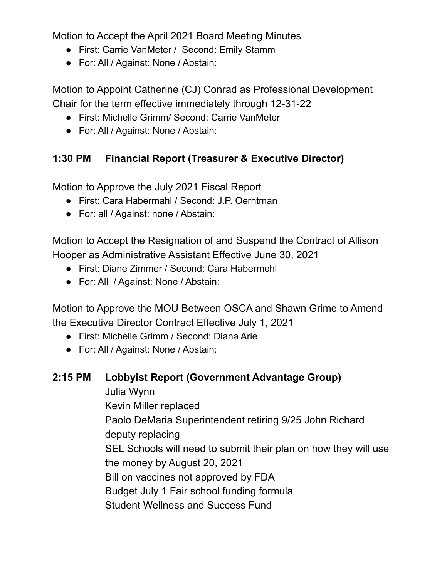Motion to Accept the April 2021 Board Meeting Minutes

- First: Carrie VanMeter / Second: Emily Stamm
- For: All / Against: None / Abstain:

Motion to Appoint Catherine (CJ) Conrad as Professional Development Chair for the term effective immediately through 12-31-22

- First: Michelle Grimm/ Second: Carrie VanMeter
- For: All / Against: None / Abstain:

#### **1:30 PM Financial Report (Treasurer & Executive Director)**

Motion to Approve the July 2021 Fiscal Report

- First: Cara Habermahl / Second: J.P. Oerhtman
- For: all / Against: none / Abstain:

Motion to Accept the Resignation of and Suspend the Contract of Allison Hooper as Administrative Assistant Effective June 30, 2021

- First: Diane Zimmer / Second: Cara Habermehl
- For: All / Against: None / Abstain:

Motion to Approve the MOU Between OSCA and Shawn Grime to Amend the Executive Director Contract Effective July 1, 2021

- First: Michelle Grimm / Second: Diana Arie
- For: All / Against: None / Abstain:
- **2:15 PM Lobbyist Report (Government Advantage Group)**

Julia Wynn

Kevin Miller replaced

Paolo DeMaria Superintendent retiring 9/25 John Richard deputy replacing

SEL Schools will need to submit their plan on how they will use the money by August 20, 2021

Bill on vaccines not approved by FDA

Budget July 1 Fair school funding formula

Student Wellness and Success Fund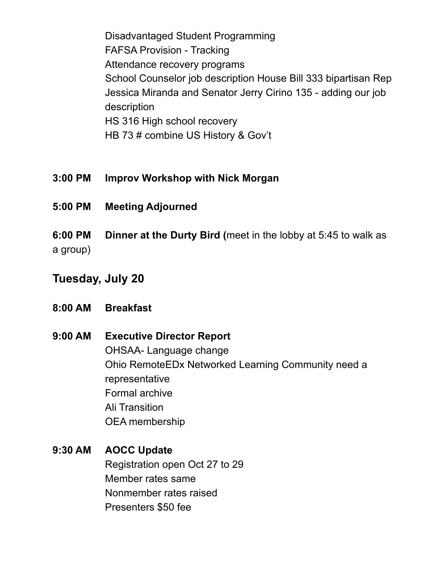Disadvantaged Student Programming FAFSA Provision - Tracking Attendance recovery programs School Counselor job description House Bill 333 bipartisan Rep Jessica Miranda and Senator Jerry Cirino 135 - adding our job description HS 316 High school recovery HB 73 # combine US History & Gov't

- **3:00 PM Improv Workshop with Nick Morgan**
- **5:00 PM Meeting Adjourned**
- **6:00 PM Dinner at the Durty Bird (**meet in the lobby at 5:45 to walk as

a group)

### **Tuesday, July 20**

- **8:00 AM Breakfast**
- **9:00 AM Executive Director Report** OHSAA- Language change Ohio RemoteEDx Networked Learning Community need a representative Formal archive Ali Transition OEA membership

#### **9:30 AM AOCC Update**

Registration open Oct 27 to 29 Member rates same Nonmember rates raised Presenters \$50 fee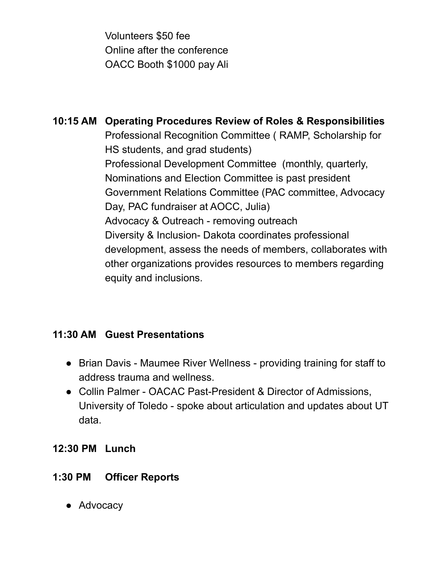Volunteers \$50 fee Online after the conference OACC Booth \$1000 pay Ali

**10:15 AM Operating Procedures Review of Roles & Responsibilities** Professional Recognition Committee ( RAMP, Scholarship for HS students, and grad students) Professional Development Committee (monthly, quarterly, Nominations and Election Committee is past president Government Relations Committee (PAC committee, Advocacy Day, PAC fundraiser at AOCC, Julia) Advocacy & Outreach - removing outreach Diversity & Inclusion- Dakota coordinates professional development, assess the needs of members, collaborates with other organizations provides resources to members regarding equity and inclusions.

#### **11:30 AM Guest Presentations**

- Brian Davis Maumee River Wellness providing training for staff to address trauma and wellness.
- Collin Palmer OACAC Past-President & Director of Admissions, University of Toledo - spoke about articulation and updates about UT data.

#### **12:30 PM Lunch**

### **1:30 PM Officer Reports**

● Advocacy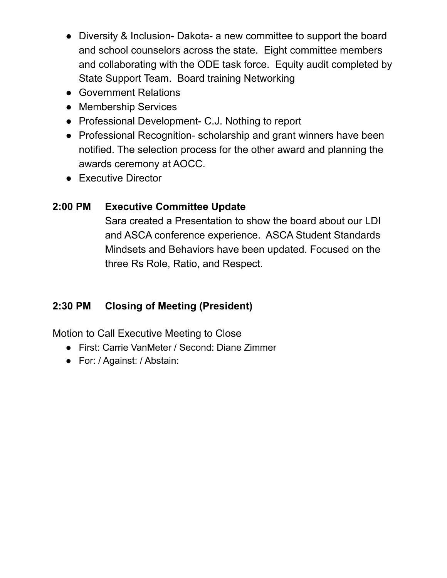- Diversity & Inclusion- Dakota- a new committee to support the board and school counselors across the state. Eight committee members and collaborating with the ODE task force. Equity audit completed by State Support Team. Board training Networking
- Government Relations
- Membership Services
- Professional Development- C.J. Nothing to report
- Professional Recognition-scholarship and grant winners have been notified. The selection process for the other award and planning the awards ceremony at AOCC.
- Executive Director

#### **2:00 PM Executive Committee Update**

Sara created a Presentation to show the board about our LDI and ASCA conference experience. ASCA Student Standards Mindsets and Behaviors have been updated. Focused on the three Rs Role, Ratio, and Respect.

### **2:30 PM Closing of Meeting (President)**

Motion to Call Executive Meeting to Close

- First: Carrie VanMeter / Second: Diane Zimmer
- For: / Against: / Abstain: